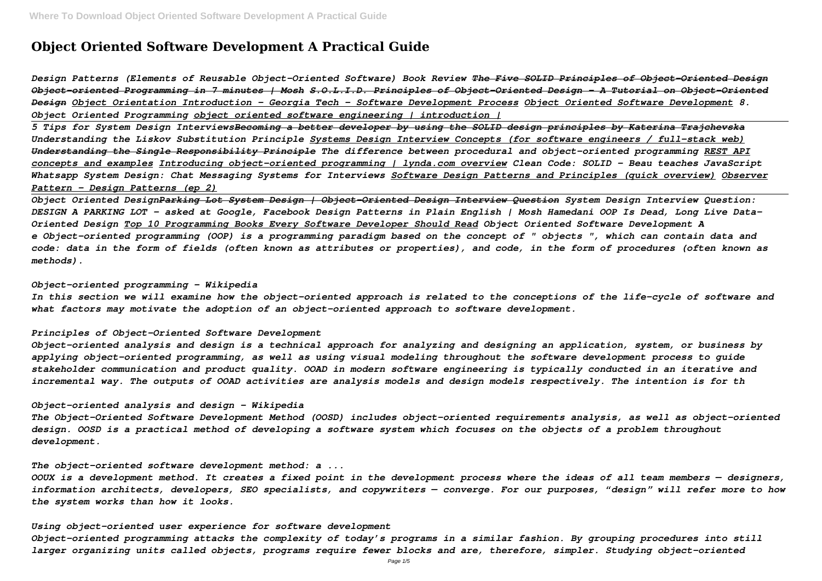# **Object Oriented Software Development A Practical Guide**

*Design Patterns (Elements of Reusable Object-Oriented Software) Book Review The Five SOLID Principles of Object-Oriented Design Object-oriented Programming in 7 minutes | Mosh S.O.L.I.D. Principles of Object-Oriented Design - A Tutorial on Object-Oriented Design Object Orientation Introduction - Georgia Tech - Software Development Process Object Oriented Software Development 8. Object Oriented Programming object oriented software engineering | introduction |*

*5 Tips for System Design InterviewsBecoming a better developer by using the SOLID design principles by Katerina Trajchevska Understanding the Liskov Substitution Principle Systems Design Interview Concepts (for software engineers / full-stack web) Understanding the Single Responsibility Principle The difference between procedural and object-oriented programming REST API concepts and examples Introducing object-oriented programming | lynda.com overview Clean Code: SOLID - Beau teaches JavaScript Whatsapp System Design: Chat Messaging Systems for Interviews Software Design Patterns and Principles (quick overview) Observer Pattern – Design Patterns (ep 2)*

*Object Oriented DesignParking Lot System Design | Object-Oriented Design Interview Question System Design Interview Question: DESIGN A PARKING LOT - asked at Google, Facebook Design Patterns in Plain English | Mosh Hamedani OOP Is Dead, Long Live Data-Oriented Design Top 10 Programming Books Every Software Developer Should Read Object Oriented Software Development A e Object-oriented programming (OOP) is a programming paradigm based on the concept of " objects ", which can contain data and code: data in the form of fields (often known as attributes or properties), and code, in the form of procedures (often known as methods).*

## *Object-oriented programming - Wikipedia*

*In this section we will examine how the object-oriented approach is related to the conceptions of the life-cycle of software and what factors may motivate the adoption of an object-oriented approach to software development.*

#### *Principles of Object-Oriented Software Development*

*Object-oriented analysis and design is a technical approach for analyzing and designing an application, system, or business by applying object-oriented programming, as well as using visual modeling throughout the software development process to guide stakeholder communication and product quality. OOAD in modern software engineering is typically conducted in an iterative and incremental way. The outputs of OOAD activities are analysis models and design models respectively. The intention is for th*

#### *Object-oriented analysis and design - Wikipedia*

*The Object-Oriented Software Development Method (OOSD) includes object-oriented requirements analysis, as well as object-oriented design. OOSD is a practical method of developing a software system which focuses on the objects of a problem throughout development.*

# *The object-oriented software development method: a ...*

*OOUX is a development method. It creates a fixed point in the development process where the ideas of all team members — designers, information architects, developers, SEO specialists, and copywriters — converge. For our purposes, "design" will refer more to how the system works than how it looks.*

# *Using object-oriented user experience for software development*

*Object-oriented programming attacks the complexity of today's programs in a similar fashion. By grouping procedures into still larger organizing units called objects, programs require fewer blocks and are, therefore, simpler. Studying object-oriented*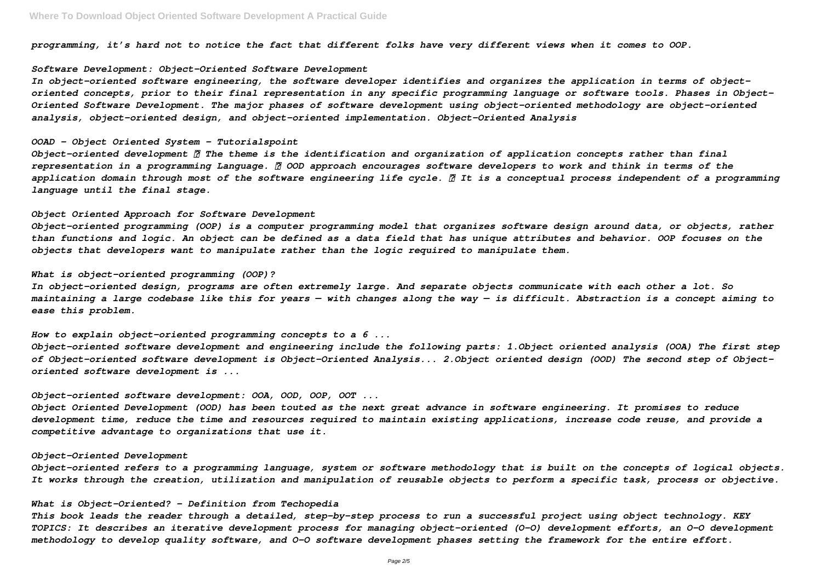*programming, it's hard not to notice the fact that different folks have very different views when it comes to OOP.*

## *Software Development: Object-Oriented Software Development*

*In object-oriented software engineering, the software developer identifies and organizes the application in terms of objectoriented concepts, prior to their final representation in any specific programming language or software tools. Phases in Object-Oriented Software Development. The major phases of software development using object–oriented methodology are object-oriented analysis, object-oriented design, and object-oriented implementation. Object–Oriented Analysis*

# *OOAD - Object Oriented System - Tutorialspoint*

*Object-oriented development The theme is the identification and organization of application concepts rather than final representation in a programming Language. OOD approach encourages software developers to work and think in terms of the application domain through most of the software engineering life cycle. It is a conceptual process independent of a programming language until the final stage.*

#### *Object Oriented Approach for Software Development*

*Object-oriented programming (OOP) is a computer programming model that organizes software design around data, or objects, rather than functions and logic. An object can be defined as a data field that has unique attributes and behavior. OOP focuses on the objects that developers want to manipulate rather than the logic required to manipulate them.*

# *What is object-oriented programming (OOP)?*

*In object-oriented design, programs are often extremely large. And separate objects communicate with each other a lot. So maintaining a large codebase like this for years — with changes along the way — is difficult. Abstraction is a concept aiming to ease this problem.*

*How to explain object-oriented programming concepts to a 6 ...*

*Object-oriented software development and engineering include the following parts: 1.Object oriented analysis (OOA) The first step of Object-oriented software development is Object-Oriented Analysis... 2.Object oriented design (OOD) The second step of Objectoriented software development is ...*

#### *Object-oriented software development: OOA, OOD, OOP, OOT ...*

*Object Oriented Development (OOD) has been touted as the next great advance in software engineering. It promises to reduce development time, reduce the time and resources required to maintain existing applications, increase code reuse, and provide a competitive advantage to organizations that use it.*

## *Object-Oriented Development*

*Object-oriented refers to a programming language, system or software methodology that is built on the concepts of logical objects. It works through the creation, utilization and manipulation of reusable objects to perform a specific task, process or objective.*

## *What is Object-Oriented? - Definition from Techopedia*

*This book leads the reader through a detailed, step-by-step process to run a successful project using object technology. KEY TOPICS: It describes an iterative development process for managing object-oriented (O-O) development efforts, an O-O development methodology to develop quality software, and O-O software development phases setting the framework for the entire effort.*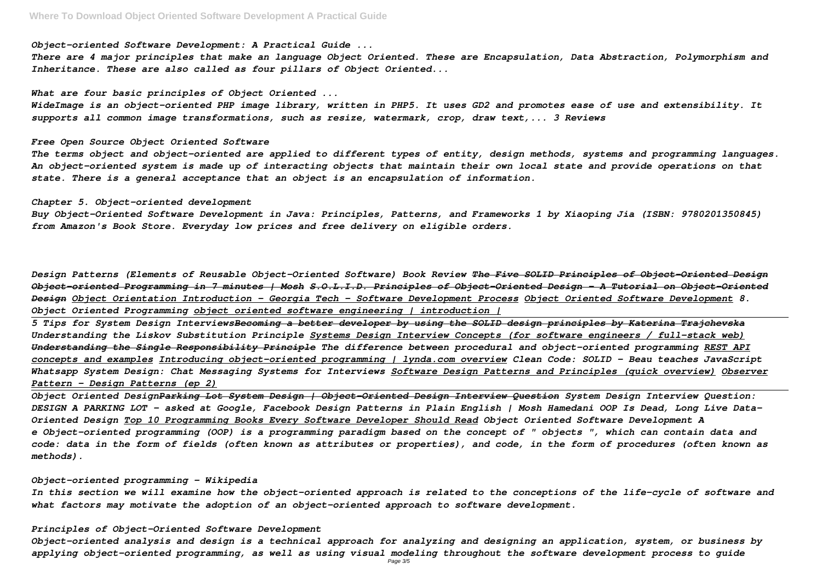# *Object-oriented Software Development: A Practical Guide ...*

*There are 4 major principles that make an language Object Oriented. These are Encapsulation, Data Abstraction, Polymorphism and Inheritance. These are also called as four pillars of Object Oriented...*

*What are four basic principles of Object Oriented ...*

*WideImage is an object-oriented PHP image library, written in PHP5. It uses GD2 and promotes ease of use and extensibility. It supports all common image transformations, such as resize, watermark, crop, draw text,... 3 Reviews*

#### *Free Open Source Object Oriented Software*

*The terms object and object-oriented are applied to different types of entity, design methods, systems and programming languages. An object-oriented system is made up of interacting objects that maintain their own local state and provide operations on that state. There is a general acceptance that an object is an encapsulation of information.*

## *Chapter 5. Object-oriented development*

*Buy Object-Oriented Software Development in Java: Principles, Patterns, and Frameworks 1 by Xiaoping Jia (ISBN: 9780201350845) from Amazon's Book Store. Everyday low prices and free delivery on eligible orders.*

*Design Patterns (Elements of Reusable Object-Oriented Software) Book Review The Five SOLID Principles of Object-Oriented Design Object-oriented Programming in 7 minutes | Mosh S.O.L.I.D. Principles of Object-Oriented Design - A Tutorial on Object-Oriented Design Object Orientation Introduction - Georgia Tech - Software Development Process Object Oriented Software Development 8. Object Oriented Programming object oriented software engineering | introduction |*

*5 Tips for System Design InterviewsBecoming a better developer by using the SOLID design principles by Katerina Trajchevska Understanding the Liskov Substitution Principle Systems Design Interview Concepts (for software engineers / full-stack web) Understanding the Single Responsibility Principle The difference between procedural and object-oriented programming REST API concepts and examples Introducing object-oriented programming | lynda.com overview Clean Code: SOLID - Beau teaches JavaScript Whatsapp System Design: Chat Messaging Systems for Interviews Software Design Patterns and Principles (quick overview) Observer Pattern – Design Patterns (ep 2)*

*Object Oriented DesignParking Lot System Design | Object-Oriented Design Interview Question System Design Interview Question: DESIGN A PARKING LOT - asked at Google, Facebook Design Patterns in Plain English | Mosh Hamedani OOP Is Dead, Long Live Data-Oriented Design Top 10 Programming Books Every Software Developer Should Read Object Oriented Software Development A e Object-oriented programming (OOP) is a programming paradigm based on the concept of " objects ", which can contain data and code: data in the form of fields (often known as attributes or properties), and code, in the form of procedures (often known as methods).*

#### *Object-oriented programming - Wikipedia*

*In this section we will examine how the object-oriented approach is related to the conceptions of the life-cycle of software and what factors may motivate the adoption of an object-oriented approach to software development.*

## *Principles of Object-Oriented Software Development*

*Object-oriented analysis and design is a technical approach for analyzing and designing an application, system, or business by applying object-oriented programming, as well as using visual modeling throughout the software development process to guide*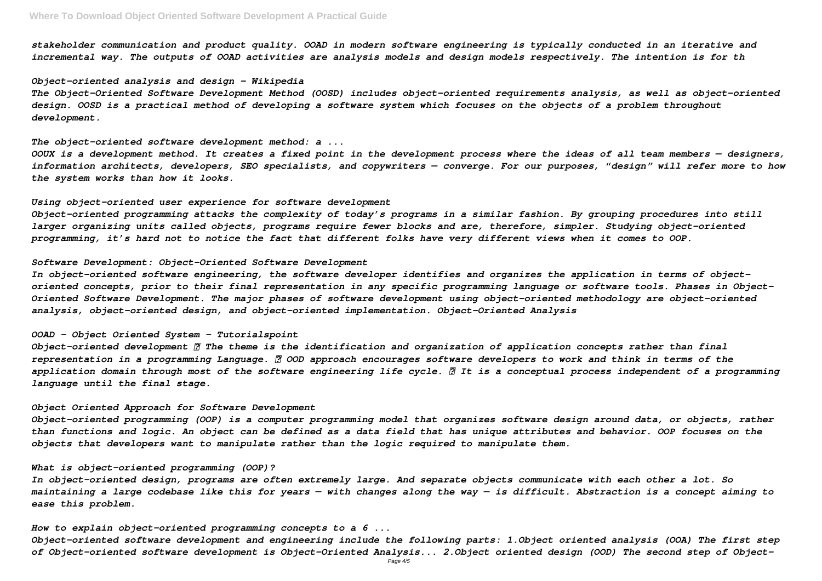*stakeholder communication and product quality. OOAD in modern software engineering is typically conducted in an iterative and incremental way. The outputs of OOAD activities are analysis models and design models respectively. The intention is for th*

#### *Object-oriented analysis and design - Wikipedia*

*The Object-Oriented Software Development Method (OOSD) includes object-oriented requirements analysis, as well as object-oriented design. OOSD is a practical method of developing a software system which focuses on the objects of a problem throughout development.*

*The object-oriented software development method: a ...*

*OOUX is a development method. It creates a fixed point in the development process where the ideas of all team members — designers, information architects, developers, SEO specialists, and copywriters — converge. For our purposes, "design" will refer more to how the system works than how it looks.*

## *Using object-oriented user experience for software development*

*Object-oriented programming attacks the complexity of today's programs in a similar fashion. By grouping procedures into still larger organizing units called objects, programs require fewer blocks and are, therefore, simpler. Studying object-oriented programming, it's hard not to notice the fact that different folks have very different views when it comes to OOP.*

## *Software Development: Object-Oriented Software Development*

*In object-oriented software engineering, the software developer identifies and organizes the application in terms of objectoriented concepts, prior to their final representation in any specific programming language or software tools. Phases in Object-Oriented Software Development. The major phases of software development using object–oriented methodology are object-oriented analysis, object-oriented design, and object-oriented implementation. Object–Oriented Analysis*

#### *OOAD - Object Oriented System - Tutorialspoint*

*Object-oriented development The theme is the identification and organization of application concepts rather than final representation in a programming Language. OOD approach encourages software developers to work and think in terms of the application domain through most of the software engineering life cycle. It is a conceptual process independent of a programming language until the final stage.*

#### *Object Oriented Approach for Software Development*

*Object-oriented programming (OOP) is a computer programming model that organizes software design around data, or objects, rather than functions and logic. An object can be defined as a data field that has unique attributes and behavior. OOP focuses on the objects that developers want to manipulate rather than the logic required to manipulate them.*

## *What is object-oriented programming (OOP)?*

*In object-oriented design, programs are often extremely large. And separate objects communicate with each other a lot. So maintaining a large codebase like this for years — with changes along the way — is difficult. Abstraction is a concept aiming to ease this problem.*

*How to explain object-oriented programming concepts to a 6 ...*

*Object-oriented software development and engineering include the following parts: 1.Object oriented analysis (OOA) The first step of Object-oriented software development is Object-Oriented Analysis... 2.Object oriented design (OOD) The second step of Object-*